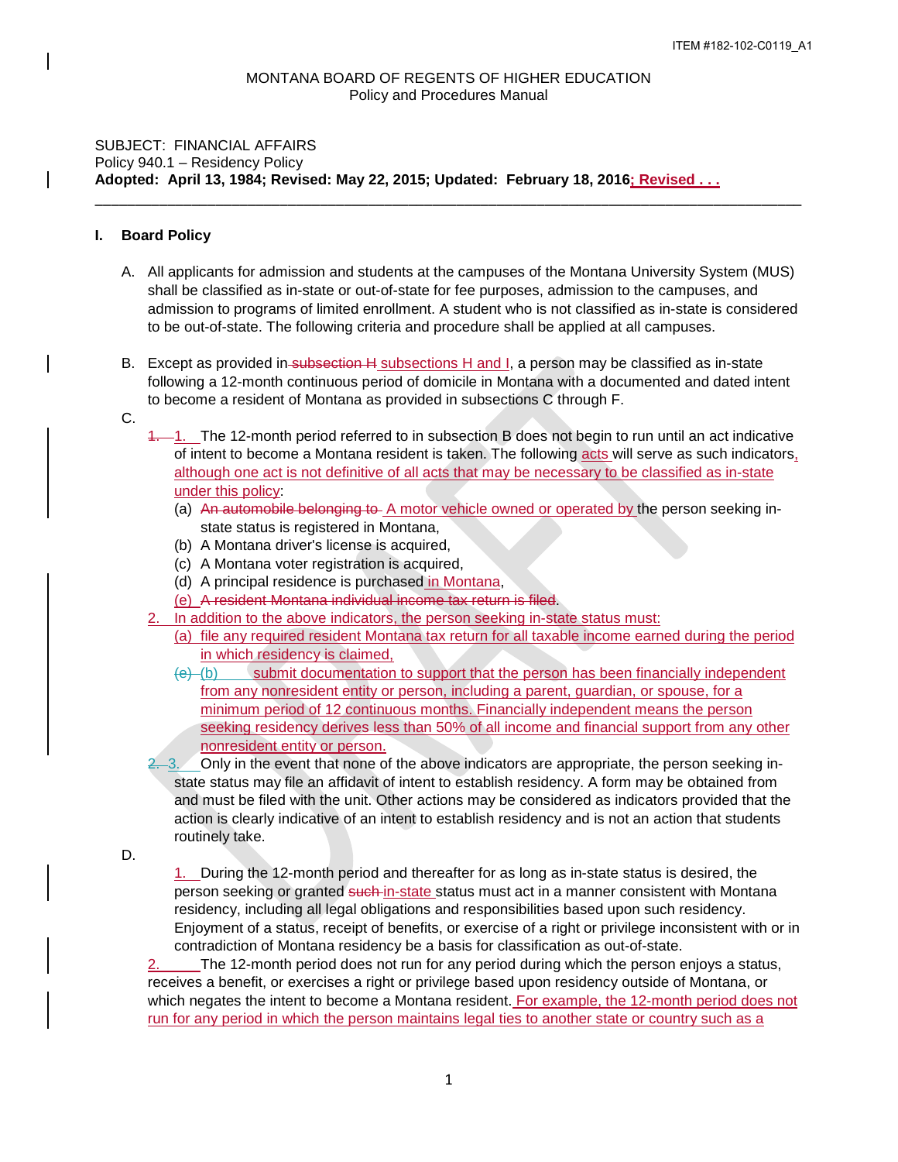\_\_\_\_\_\_\_\_\_\_\_\_\_\_\_\_\_\_\_\_\_\_\_\_\_\_\_\_\_\_\_\_\_\_\_\_\_\_\_\_\_\_\_\_\_\_\_\_\_\_\_\_\_\_\_\_\_\_\_\_\_\_\_\_\_\_\_\_\_\_\_\_\_\_\_\_\_\_\_\_\_\_\_\_\_\_\_\_

## SUBJECT: FINANCIAL AFFAIRS Policy 940.1 – Residency Policy **Adopted: April 13, 1984; Revised: May 22, 2015; Updated: February 18, 2016; Revised . . .**

## **I. Board Policy**

- A. All applicants for admission and students at the campuses of the Montana University System (MUS) shall be classified as in-state or out-of-state for fee purposes, admission to the campuses, and admission to programs of limited enrollment. A student who is not classified as in-state is considered to be out-of-state. The following criteria and procedure shall be applied at all campuses.
- B. Except as provided in subsection H subsections H and I, a person may be classified as in-state following a 12-month continuous period of domicile in Montana with a documented and dated intent to become a resident of Montana as provided in subsections C through F.
- C.
- 1. The 12-month period referred to in subsection B does not begin to run until an act indicative of intent to become a Montana resident is taken. The following acts will serve as such indicators, although one act is not definitive of all acts that may be necessary to be classified as in-state under this policy:
	- (a) An automobile belonging to A motor vehicle owned or operated by the person seeking instate status is registered in Montana,
	- (b) A Montana driver's license is acquired,
	- (c) A Montana voter registration is acquired,
	- (d) A principal residence is purchased in Montana,
	- (e) A resident Montana individual income tax return is filed.
- 2. In addition to the above indicators, the person seeking in-state status must:
	- (a) file any required resident Montana tax return for all taxable income earned during the period in which residency is claimed,
	- $(e)$  (b) submit documentation to support that the person has been financially independent from any nonresident entity or person, including a parent, guardian, or spouse, for a minimum period of 12 continuous months. Financially independent means the person seeking residency derives less than 50% of all income and financial support from any other nonresident entity or person.
- 2. 3. Only in the event that none of the above indicators are appropriate, the person seeking instate status may file an affidavit of intent to establish residency. A form may be obtained from and must be filed with the unit. Other actions may be considered as indicators provided that the action is clearly indicative of an intent to establish residency and is not an action that students routinely take.

D.

1. During the 12-month period and thereafter for as long as in-state status is desired, the person seeking or granted such-in-state status must act in a manner consistent with Montana residency, including all legal obligations and responsibilities based upon such residency. Enjoyment of a status, receipt of benefits, or exercise of a right or privilege inconsistent with or in contradiction of Montana residency be a basis for classification as out-of-state.

2. The 12-month period does not run for any period during which the person enjoys a status, receives a benefit, or exercises a right or privilege based upon residency outside of Montana, or which negates the intent to become a Montana resident. For example, the 12-month period does not run for any period in which the person maintains legal ties to another state or country such as a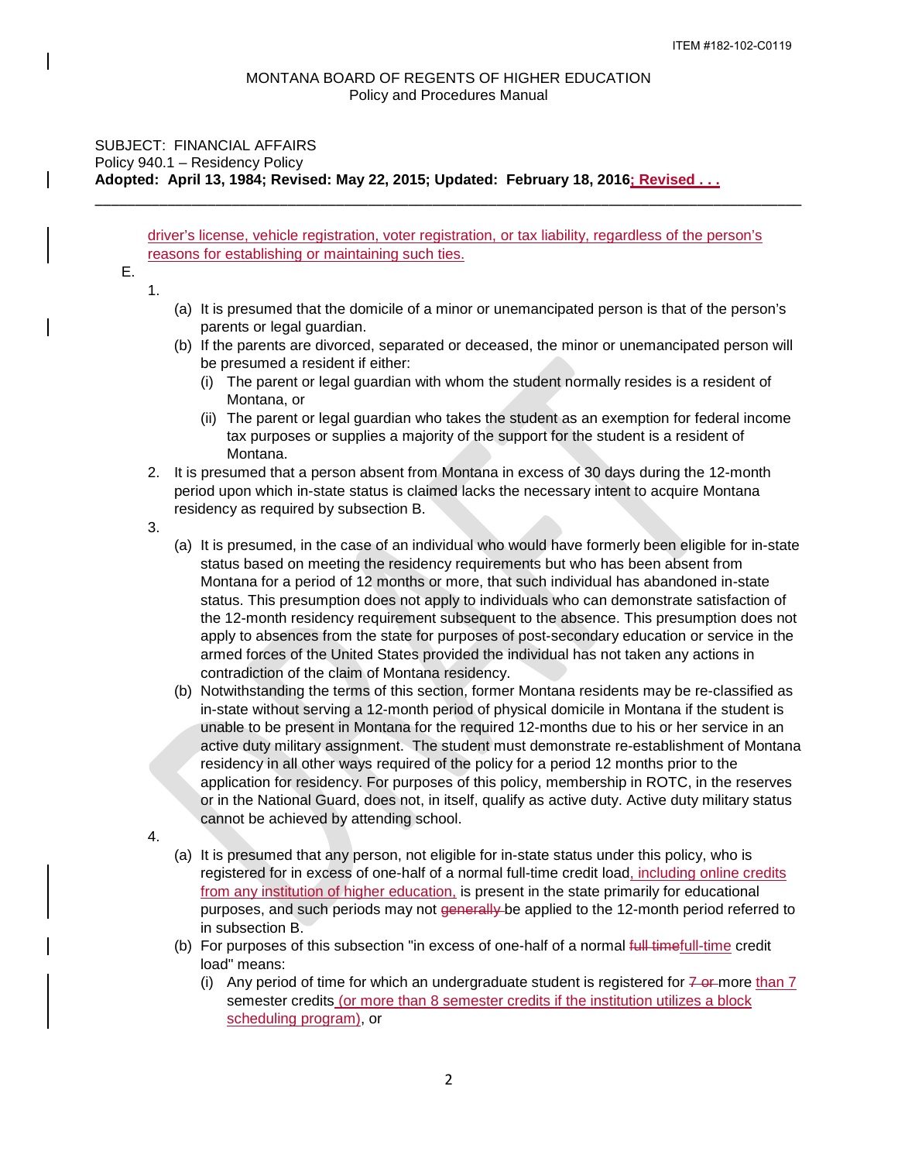## SUBJECT: FINANCIAL AFFAIRS Policy 940.1 – Residency Policy **Adopted: April 13, 1984; Revised: May 22, 2015; Updated: February 18, 2016; Revised . . .**

driver's license, vehicle registration, voter registration, or tax liability, regardless of the person's reasons for establishing or maintaining such ties.

\_\_\_\_\_\_\_\_\_\_\_\_\_\_\_\_\_\_\_\_\_\_\_\_\_\_\_\_\_\_\_\_\_\_\_\_\_\_\_\_\_\_\_\_\_\_\_\_\_\_\_\_\_\_\_\_\_\_\_\_\_\_\_\_\_\_\_\_\_\_\_\_\_\_\_\_\_\_\_\_\_\_\_\_\_\_\_\_

E.

1.

- (a) It is presumed that the domicile of a minor or unemancipated person is that of the person's parents or legal guardian.
- (b) If the parents are divorced, separated or deceased, the minor or unemancipated person will be presumed a resident if either:
	- (i) The parent or legal guardian with whom the student normally resides is a resident of Montana, or
	- (ii) The parent or legal guardian who takes the student as an exemption for federal income tax purposes or supplies a majority of the support for the student is a resident of Montana.
- 2. It is presumed that a person absent from Montana in excess of 30 days during the 12-month period upon which in-state status is claimed lacks the necessary intent to acquire Montana residency as required by subsection B.
- 3.
- (a) It is presumed, in the case of an individual who would have formerly been eligible for in-state status based on meeting the residency requirements but who has been absent from Montana for a period of 12 months or more, that such individual has abandoned in-state status. This presumption does not apply to individuals who can demonstrate satisfaction of the 12-month residency requirement subsequent to the absence. This presumption does not apply to absences from the state for purposes of post-secondary education or service in the armed forces of the United States provided the individual has not taken any actions in contradiction of the claim of Montana residency.
- (b) Notwithstanding the terms of this section, former Montana residents may be re-classified as in-state without serving a 12-month period of physical domicile in Montana if the student is unable to be present in Montana for the required 12-months due to his or her service in an active duty military assignment. The student must demonstrate re-establishment of Montana residency in all other ways required of the policy for a period 12 months prior to the application for residency. For purposes of this policy, membership in ROTC, in the reserves or in the National Guard, does not, in itself, qualify as active duty. Active duty military status cannot be achieved by attending school.
- 4.
- (a) It is presumed that any person, not eligible for in-state status under this policy, who is registered for in excess of one-half of a normal full-time credit load, including online credits from any institution of higher education, is present in the state primarily for educational purposes, and such periods may not generally be applied to the 12-month period referred to in subsection B.
- (b) For purposes of this subsection "in excess of one-half of a normal full timefull-time credit load" means:
	- (i) Any period of time for which an undergraduate student is registered for  $7\text{-}$ or more than  $7\text{-}$ semester credits (or more than 8 semester credits if the institution utilizes a block scheduling program), or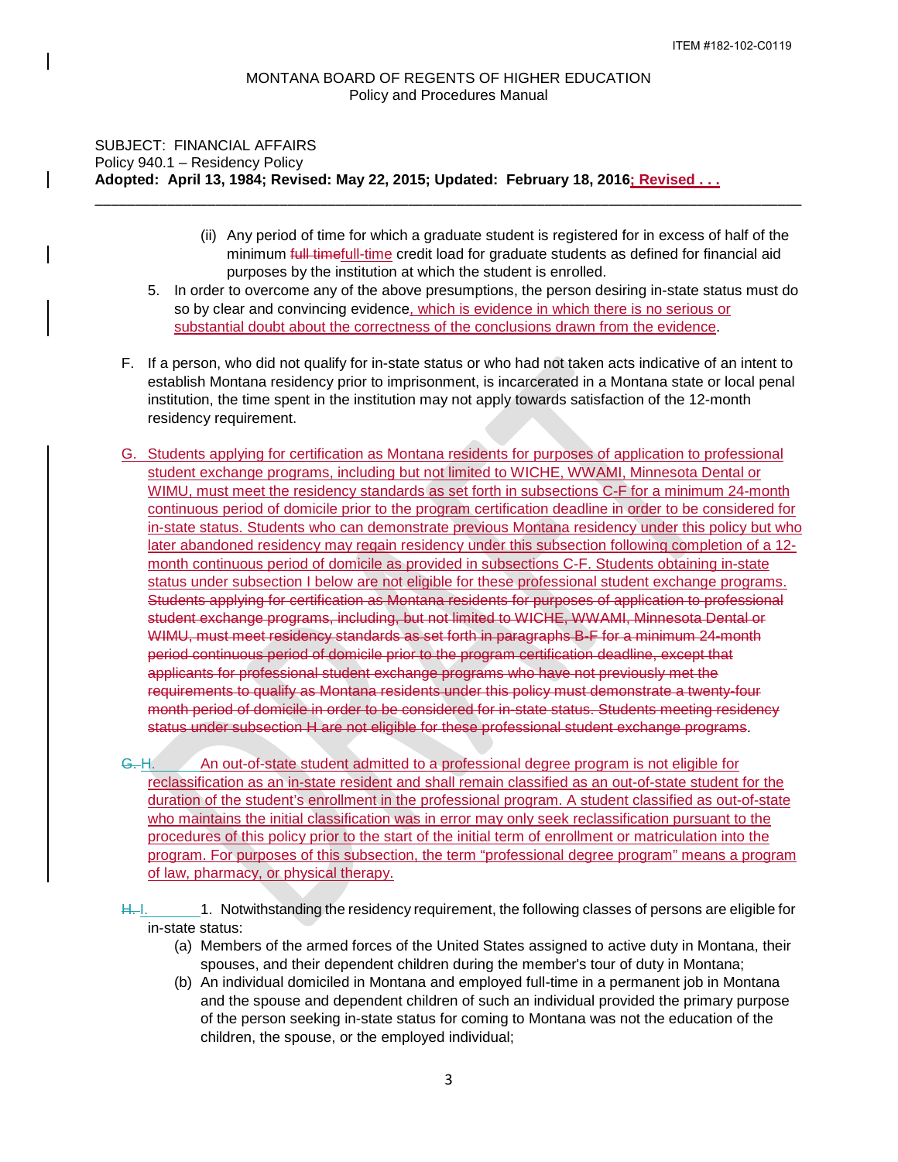\_\_\_\_\_\_\_\_\_\_\_\_\_\_\_\_\_\_\_\_\_\_\_\_\_\_\_\_\_\_\_\_\_\_\_\_\_\_\_\_\_\_\_\_\_\_\_\_\_\_\_\_\_\_\_\_\_\_\_\_\_\_\_\_\_\_\_\_\_\_\_\_\_\_\_\_\_\_\_\_\_\_\_\_\_\_\_\_

# SUBJECT: FINANCIAL AFFAIRS Policy 940.1 – Residency Policy **Adopted: April 13, 1984; Revised: May 22, 2015; Updated: February 18, 2016; Revised . . .**

- (ii) Any period of time for which a graduate student is registered for in excess of half of the minimum full timefull-time credit load for graduate students as defined for financial aid purposes by the institution at which the student is enrolled.
- 5. In order to overcome any of the above presumptions, the person desiring in-state status must do so by clear and convincing evidence, which is evidence in which there is no serious or substantial doubt about the correctness of the conclusions drawn from the evidence.
- F. If a person, who did not qualify for in-state status or who had not taken acts indicative of an intent to establish Montana residency prior to imprisonment, is incarcerated in a Montana state or local penal institution, the time spent in the institution may not apply towards satisfaction of the 12-month residency requirement.
- G. Students applying for certification as Montana residents for purposes of application to professional student exchange programs, including but not limited to WICHE, WWAMI, Minnesota Dental or WIMU, must meet the residency standards as set forth in subsections C-F for a minimum 24-month continuous period of domicile prior to the program certification deadline in order to be considered for in-state status. Students who can demonstrate previous Montana residency under this policy but who later abandoned residency may regain residency under this subsection following completion of a 12 month continuous period of domicile as provided in subsections C-F. Students obtaining in-state status under subsection I below are not eligible for these professional student exchange programs. Students applying for certification as Montana residents for purposes of application to professional student exchange programs, including, but not limited to WICHE, WWAMI, Minnesota Dental or WIMU, must meet residency standards as set forth in paragraphs B-F for a minimum 24-month period continuous period of domicile prior to the program certification deadline, except that applicants for professional student exchange programs who have not previously met the requirements to qualify as Montana residents under this policy must demonstrate a twenty-four month period of domicile in order to be considered for in-state status. Students meeting residency status under subsection H are not eligible for these professional student exchange programs.

G. H. An out-of-state student admitted to a professional degree program is not eligible for reclassification as an in-state resident and shall remain classified as an out-of-state student for the duration of the student's enrollment in the professional program. A student classified as out-of-state who maintains the initial classification was in error may only seek reclassification pursuant to the procedures of this policy prior to the start of the initial term of enrollment or matriculation into the program. For purposes of this subsection, the term "professional degree program" means a program of law, pharmacy, or physical therapy.

- H. 1. 1. 1. Notwithstanding the residency requirement, the following classes of persons are eligible for in-state status:
	- (a) Members of the armed forces of the United States assigned to active duty in Montana, their spouses, and their dependent children during the member's tour of duty in Montana;
	- (b) An individual domiciled in Montana and employed full-time in a permanent job in Montana and the spouse and dependent children of such an individual provided the primary purpose of the person seeking in-state status for coming to Montana was not the education of the children, the spouse, or the employed individual;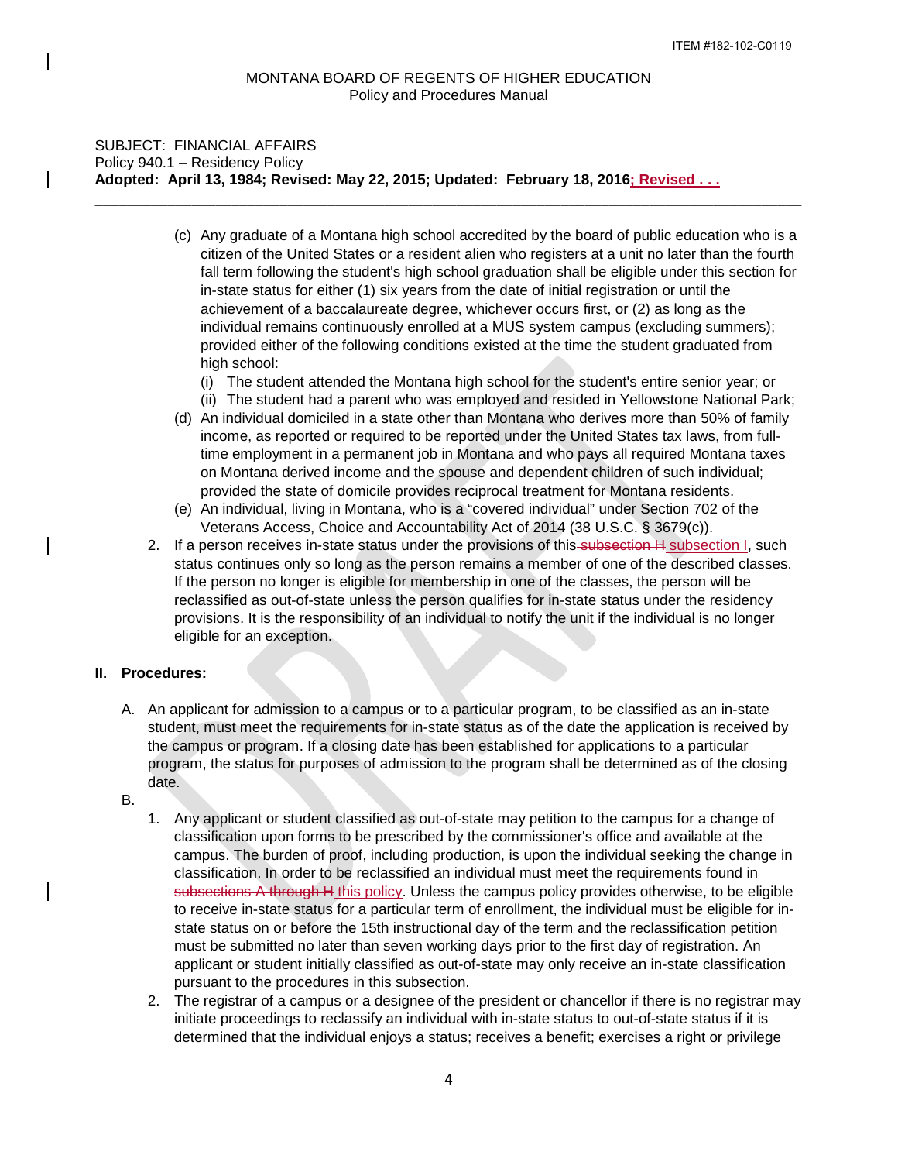\_\_\_\_\_\_\_\_\_\_\_\_\_\_\_\_\_\_\_\_\_\_\_\_\_\_\_\_\_\_\_\_\_\_\_\_\_\_\_\_\_\_\_\_\_\_\_\_\_\_\_\_\_\_\_\_\_\_\_\_\_\_\_\_\_\_\_\_\_\_\_\_\_\_\_\_\_\_\_\_\_\_\_\_\_\_\_\_

# SUBJECT: FINANCIAL AFFAIRS Policy 940.1 – Residency Policy **Adopted: April 13, 1984; Revised: May 22, 2015; Updated: February 18, 2016; Revised . . .**

- (c) Any graduate of a Montana high school accredited by the board of public education who is a citizen of the United States or a resident alien who registers at a unit no later than the fourth fall term following the student's high school graduation shall be eligible under this section for in-state status for either (1) six years from the date of initial registration or until the achievement of a baccalaureate degree, whichever occurs first, or (2) as long as the individual remains continuously enrolled at a MUS system campus (excluding summers); provided either of the following conditions existed at the time the student graduated from high school:
	- (i) The student attended the Montana high school for the student's entire senior year; or
	- (ii) The student had a parent who was employed and resided in Yellowstone National Park;
- (d) An individual domiciled in a state other than Montana who derives more than 50% of family income, as reported or required to be reported under the United States tax laws, from fulltime employment in a permanent job in Montana and who pays all required Montana taxes on Montana derived income and the spouse and dependent children of such individual; provided the state of domicile provides reciprocal treatment for Montana residents.
- (e) An individual, living in Montana, who is a "covered individual" under Section 702 of the Veterans Access, Choice and Accountability Act of 2014 (38 U.S.C. § 3679(c)).
- 2. If a person receives in-state status under the provisions of this subsection H subsection I, such status continues only so long as the person remains a member of one of the described classes. If the person no longer is eligible for membership in one of the classes, the person will be reclassified as out-of-state unless the person qualifies for in-state status under the residency provisions. It is the responsibility of an individual to notify the unit if the individual is no longer eligible for an exception.

### **II. Procedures:**

- A. An applicant for admission to a campus or to a particular program, to be classified as an in-state student, must meet the requirements for in-state status as of the date the application is received by the campus or program. If a closing date has been established for applications to a particular program, the status for purposes of admission to the program shall be determined as of the closing date.
- B.
- 1. Any applicant or student classified as out-of-state may petition to the campus for a change of classification upon forms to be prescribed by the commissioner's office and available at the campus. The burden of proof, including production, is upon the individual seeking the change in classification. In order to be reclassified an individual must meet the requirements found in subsections A through H this policy. Unless the campus policy provides otherwise, to be eligible to receive in-state status for a particular term of enrollment, the individual must be eligible for instate status on or before the 15th instructional day of the term and the reclassification petition must be submitted no later than seven working days prior to the first day of registration. An applicant or student initially classified as out-of-state may only receive an in-state classification pursuant to the procedures in this subsection.
- 2. The registrar of a campus or a designee of the president or chancellor if there is no registrar may initiate proceedings to reclassify an individual with in-state status to out-of-state status if it is determined that the individual enjoys a status; receives a benefit; exercises a right or privilege